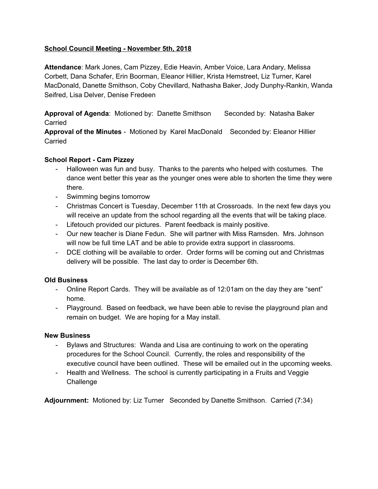## **School Council Meeting - November 5th, 2018**

**Attendance**: Mark Jones, Cam Pizzey, Edie Heavin, Amber Voice, Lara Andary, Melissa Corbett, Dana Schafer, Erin Boorman, Eleanor Hillier, Krista Hemstreet, Liz Turner, Karel MacDonald, Danette Smithson, Coby Chevillard, Nathasha Baker, Jody Dunphy-Rankin, Wanda Seifred, Lisa Delver, Denise Fredeen

**Approval of Agenda: Motioned by: Danette Smithson Seconded by: Natasha Baker** Carried

**Approval of the Minutes** - Motioned by Karel MacDonald Seconded by: Eleanor Hillier Carried

## **School Report - Cam Pizzey**

- Halloween was fun and busy. Thanks to the parents who helped with costumes. The dance went better this year as the younger ones were able to shorten the time they were there.
- Swimming begins tomorrow
- Christmas Concert is Tuesday, December 11th at Crossroads. In the next few days you will receive an update from the school regarding all the events that will be taking place.
- Lifetouch provided our pictures. Parent feedback is mainly positive.
- Our new teacher is Diane Fedun. She will partner with Miss Ramsden. Mrs. Johnson will now be full time LAT and be able to provide extra support in classrooms.
- DCE clothing will be available to order. Order forms will be coming out and Christmas delivery will be possible. The last day to order is December 6th.

#### **Old Business**

- Online Report Cards. They will be available as of 12:01am on the day they are "sent" home.
- Playground. Based on feedback, we have been able to revise the playground plan and remain on budget. We are hoping for a May install.

#### **New Business**

- Bylaws and Structures: Wanda and Lisa are continuing to work on the operating procedures for the School Council. Currently, the roles and responsibility of the executive council have been outlined. These will be emailed out in the upcoming weeks.
- Health and Wellness. The school is currently participating in a Fruits and Veggie **Challenge**

**Adjournment:** Motioned by: Liz Turner Seconded by Danette Smithson. Carried (7:34)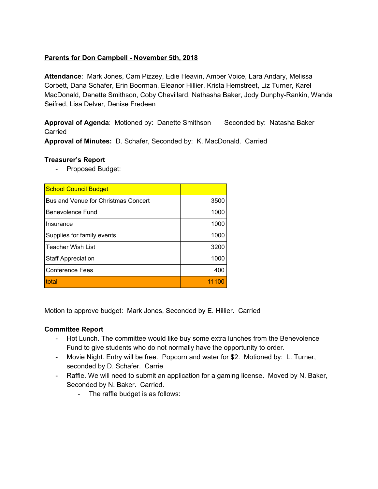# **Parents for Don Campbell - November 5th, 2018**

**Attendance**: Mark Jones, Cam Pizzey, Edie Heavin, Amber Voice, Lara Andary, Melissa Corbett, Dana Schafer, Erin Boorman, Eleanor Hillier, Krista Hemstreet, Liz Turner, Karel MacDonald, Danette Smithson, Coby Chevillard, Nathasha Baker, Jody Dunphy-Rankin, Wanda Seifred, Lisa Delver, Denise Fredeen

**Approval of Agenda: Motioned by: Danette Smithson Seconded by: Natasha Baker** Carried

**Approval of Minutes:** D. Schafer, Seconded by: K. MacDonald. Carried

## **Treasurer's Report**

- Proposed Budget:

| <b>School Council Budget</b>        |       |
|-------------------------------------|-------|
| Bus and Venue for Christmas Concert | 3500  |
| Benevolence Fund                    | 1000  |
| Insurance                           | 1000  |
| Supplies for family events          | 1000  |
| <b>Teacher Wish List</b>            | 3200  |
| <b>Staff Appreciation</b>           | 1000  |
| <b>Conference Fees</b>              | 400   |
| total                               | 11100 |

Motion to approve budget: Mark Jones, Seconded by E. Hillier. Carried

#### **Committee Report**

- Hot Lunch. The committee would like buy some extra lunches from the Benevolence Fund to give students who do not normally have the opportunity to order.
- Movie Night. Entry will be free. Popcorn and water for \$2. Motioned by: L. Turner, seconded by D. Schafer. Carrie
- Raffle. We will need to submit an application for a gaming license. Moved by N. Baker, Seconded by N. Baker. Carried.
	- The raffle budget is as follows: